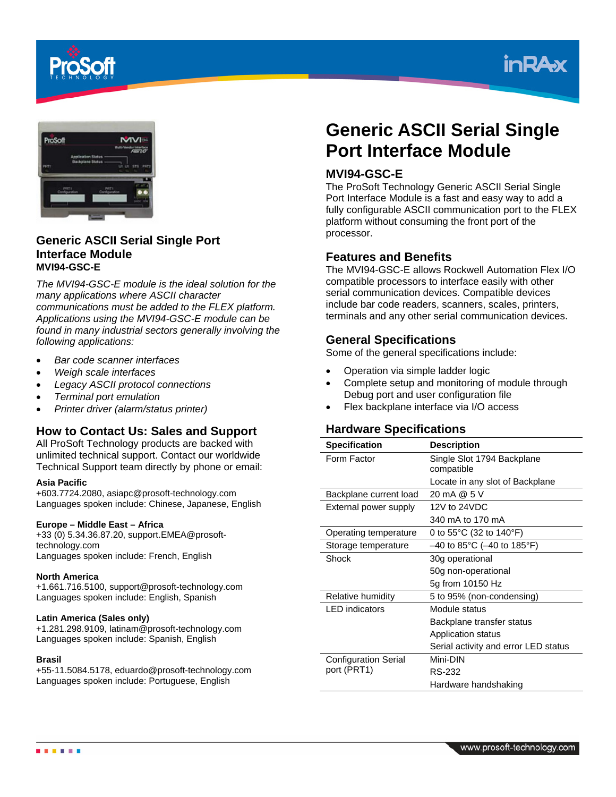





# **Generic ASCII Serial Single Port Interface Module MVI94-GSC-E**

*The MVI94-GSC-E module is the ideal solution for the many applications where ASCII character communications must be added to the FLEX platform. Applications using the MVI94-GSC-E module can be found in many industrial sectors generally involving the following applications:* 

- *Bar code scanner interfaces*
- *Weigh scale interfaces*
- *Legacy ASCII protocol connections*
- *Terminal port emulation*
- *Printer driver (alarm/status printer)*

# **How to Contact Us: Sales and Support**

All ProSoft Technology products are backed with unlimited technical support. Contact our worldwide Technical Support team directly by phone or email:

#### **Asia Pacific**

+603.7724.2080, asiapc@prosoft-technology.com Languages spoken include: Chinese, Japanese, English

#### **Europe – Middle East – Africa**

+33 (0) 5.34.36.87.20, support.EMEA@prosofttechnology.com Languages spoken include: French, English

#### **North America**

+1.661.716.5100, support@prosoft-technology.com Languages spoken include: English, Spanish

#### **Latin America (Sales only)**

+1.281.298.9109, latinam@prosoft-technology.com Languages spoken include: Spanish, English

#### **Brasil**

+55-11.5084.5178, eduardo@prosoft-technology.com Languages spoken include: Portuguese, English

# **Generic ASCII Serial Single Port Interface Module**

# **MVI94-GSC-E**

The ProSoft Technology Generic ASCII Serial Single Port Interface Module is a fast and easy way to add a fully configurable ASCII communication port to the FLEX platform without consuming the front port of the processor.

#### **Features and Benefits**

The MVI94-GSC-E allows Rockwell Automation Flex I/O compatible processors to interface easily with other serial communication devices. Compatible devices include bar code readers, scanners, scales, printers, terminals and any other serial communication devices.

# **General Specifications**

Some of the general specifications include:

- Operation via simple ladder logic
- Complete setup and monitoring of module through Debug port and user configuration file
- Flex backplane interface via I/O access

# **Hardware Specifications**

| <b>Specification</b>        | <b>Description</b>                           |
|-----------------------------|----------------------------------------------|
| Form Factor                 | Single Slot 1794 Backplane                   |
|                             | compatible                                   |
|                             | Locate in any slot of Backplane              |
| Backplane current load      | 20 mA @ 5 V                                  |
| External power supply       | 12V to 24VDC                                 |
|                             | 340 mA to 170 mA                             |
| Operating temperature       | 0 to $55^{\circ}$ C (32 to 140 $^{\circ}$ F) |
| Storage temperature         | $-40$ to 85°C (-40 to 185°F)                 |
| Shock                       | 30g operational                              |
|                             | 50g non-operational                          |
|                             | 5g from 10150 Hz                             |
| Relative humidity           | 5 to 95% (non-condensing)                    |
| <b>LED</b> indicators       | Module status                                |
|                             | Backplane transfer status                    |
|                             | Application status                           |
|                             | Serial activity and error LED status         |
| <b>Configuration Serial</b> | Mini-DIN                                     |
| port (PRT1)                 | <b>RS-232</b>                                |
|                             | Hardware handshaking                         |

. . . . .